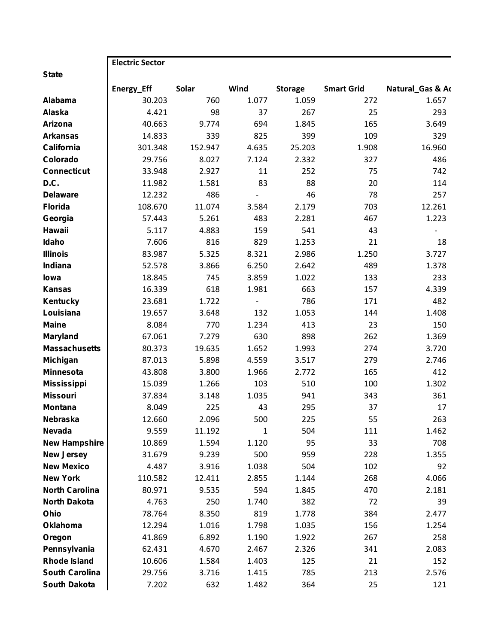|                 | <b>Electric Sector</b> |         |              |                |                   |                 |
|-----------------|------------------------|---------|--------------|----------------|-------------------|-----------------|
| State           |                        |         |              |                |                   |                 |
|                 | Energy_Eff             | Solar   | Wind         | <b>Storage</b> | <b>Smart Grid</b> | Natural_Gas & A |
| Alabama         | 30.203                 | 760     | 1.077        | 1.059          | 272               | 1.657           |
| Alaska          | 4.421                  | 98      | 37           | 267            | 25                | 293             |
| Arizona         | 40.663                 | 9.774   | 694          | 1.845          | 165               | 3.649           |
| Arkansas        | 14.833                 | 339     | 825          | 399            | 109               | 329             |
| California      | 301.348                | 152.947 | 4.635        | 25.203         | 1.908             | 16.960          |
| Colorado        | 29.756                 | 8.027   | 7.124        | 2.332          | 327               | 486             |
| Connecticut     | 33.948                 | 2.927   | 11           | 252            | 75                | 742             |
| D.C.            | 11.982                 | 1.581   | 83           | 88             | 20                | 114             |
| Delaware        | 12.232                 | 486     |              | 46             | 78                | 257             |
| Florida         | 108.670                | 11.074  | 3.584        | 2.179          | 703               | 12.261          |
| Georgia         | 57.443                 | 5.261   | 483          | 2.281          | 467               | 1.223           |
| Hawaii          | 5.117                  | 4.883   | 159          | 541            | 43                |                 |
| Idaho           | 7.606                  | 816     | 829          | 1.253          | 21                | 18              |
| <b>Illinois</b> | 83.987                 | 5.325   | 8.321        | 2.986          | 1.250             | 3.727           |
| Indiana         | 52.578                 | 3.866   | 6.250        | 2.642          | 489               | 1.378           |
| lowa            | 18.845                 | 745     | 3.859        | 1.022          | 133               | 233             |
| Kansas          | 16.339                 | 618     | 1.981        | 663            | 157               | 4.339           |
| Kentucky        | 23.681                 | 1.722   |              | 786            | 171               | 482             |
| Louisiana       | 19.657                 | 3.648   | 132          | 1.053          | 144               | 1.408           |
| Maine           | 8.084                  | 770     | 1.234        | 413            | 23                | 150             |
| Maryland        | 67.061                 | 7.279   | 630          | 898            | 262               | 1.369           |
| Massachusetts   | 80.373                 | 19.635  | 1.652        | 1.993          | 274               | 3.720           |
| Michigan        | 87.013                 | 5.898   | 4.559        | 3.517          | 279               | 2.746           |
| Minnesota       | 43.808                 | 3.800   | 1.966        | 2.772          | 165               | 412             |
| Mississippi     | 15.039                 | 1.266   | 103          | 510            | 100               | 1.302           |
| Missouri        | 37.834                 | 3.148   | 1.035        | 941            | 343               | 361             |
| Montana         | 8.049                  | 225     | 43           | 295            | 37                | 17              |
| Nebraska        | 12.660                 | 2.096   | 500          | 225            | 55                | 263             |
| Nevada          | 9.559                  | 11.192  | $\mathbf{1}$ | 504            | 111               | 1.462           |
| New Hampshire   | 10.869                 | 1.594   | 1.120        | 95             | 33                | 708             |
| New Jersey      | 31.679                 | 9.239   | 500          | 959            | 228               | 1.355           |
| New Mexico      | 4.487                  | 3.916   | 1.038        | 504            | 102               | 92              |
| New York        | 110.582                | 12.411  | 2.855        | 1.144          | 268               | 4.066           |
| North Carolina  | 80.971                 | 9.535   | 594          | 1.845          | 470               | 2.181           |
| North Dakota    | 4.763                  | 250     | 1.740        | 382            | 72                | 39              |
| Ohio            | 78.764                 | 8.350   | 819          | 1.778          | 384               | 2.477           |
| Oklahoma        | 12.294                 | 1.016   | 1.798        | 1.035          | 156               | 1.254           |
| Oregon          | 41.869                 | 6.892   | 1.190        | 1.922          | 267               | 258             |
| Pennsylvania    | 62.431                 | 4.670   | 2.467        | 2.326          | 341               | 2.083           |
| Rhode Island    | 10.606                 | 1.584   | 1.403        | 125            | 21                | 152             |
| South Carolina  | 29.756                 | 3.716   | 1.415        | 785            | 213               | 2.576           |
| South Dakota    | 7.202                  | 632     | 1.482        | 364            | 25                | 121             |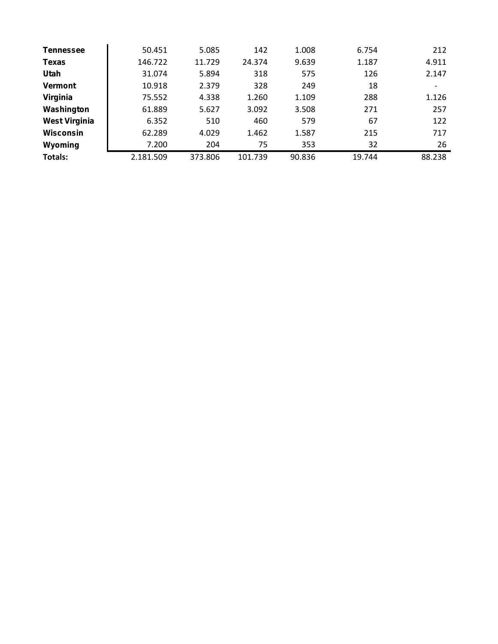| Tennessee     | 50.451    | 5.085   | 142     | 1.008  | 6.754  | 212    |
|---------------|-----------|---------|---------|--------|--------|--------|
| Texas         | 146.722   | 11.729  | 24.374  | 9.639  | 1.187  | 4.911  |
| Utah          | 31.074    | 5.894   | 318     | 575    | 126    | 2.147  |
| Vermont       | 10.918    | 2.379   | 328     | 249    | 18     |        |
| Virginia      | 75.552    | 4.338   | 1.260   | 1.109  | 288    | 1.126  |
| Washington    | 61.889    | 5.627   | 3.092   | 3.508  | 271    | 257    |
| West Virginia | 6.352     | 510     | 460     | 579    | 67     | 122    |
| Wisconsin     | 62.289    | 4.029   | 1.462   | 1.587  | 215    | 717    |
| Wyoming       | 7.200     | 204     | 75      | 353    | 32     | 26     |
| Totals:       | 2.181.509 | 373.806 | 101.739 | 90.836 | 19.744 | 88.238 |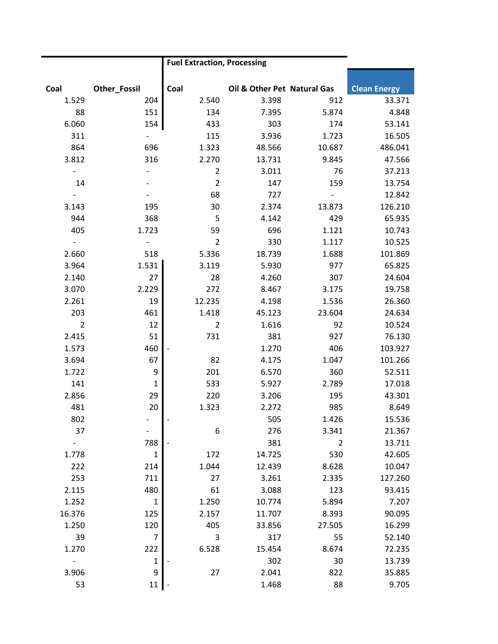|                |                | <b>Fuel Extraction, Processing</b> |                             |                |                     |
|----------------|----------------|------------------------------------|-----------------------------|----------------|---------------------|
|                |                |                                    |                             |                |                     |
| Coal           | Other_Fossil   | Coal                               | Oil & Other Pet Natural Gas |                | <b>Clean Energy</b> |
| 1.529          | 204            | 2.540                              | 3.398                       | 912            | 33.371              |
| 88             | 151            | 134                                | 7.395                       | 5.874          | 4.848               |
| 6.060          | 154            | 433                                | 303                         | 174            | 53.141              |
| 311            |                | 115                                | 3.936                       | 1.723          | 16.505              |
| 864            | 696            | 1.323                              | 48.566                      | 10.687         | 486.041             |
| 3.812          | 316            | 2.270                              | 13.731                      | 9.845          | 47.566              |
|                |                | $\overline{2}$                     | 3.011                       | 76             | 37.213              |
| 14             |                | $\overline{2}$                     | 147                         | 159            | 13.754              |
|                |                | 68                                 | 727                         |                | 12.842              |
| 3.143          | 195            | 30                                 | 2.374                       | 13.873         | 126.210             |
| 944            | 368            | 5                                  | 4.142                       | 429            | 65.935              |
| 405            | 1.723          | 59                                 | 696                         | 1.121          | 10.743              |
| $\blacksquare$ |                | $\overline{2}$                     | 330                         | 1.117          | 10.525              |
| 2.660          | 518            | 5.336                              | 18.739                      | 1.688          | 101.869             |
| 3.964          | 1.531          | 3.119                              | 5.930                       | 977            | 65.825              |
| 2.140          | 27             | 28                                 | 4.260                       | 307            | 24.604              |
| 3.070          | 2.229          | 272                                | 8.467                       | 3.175          | 19.758              |
| 2.261          | 19             | 12.235                             | 4.198                       | 1.536          | 26.360              |
| 203            | 461            | 1.418                              | 45.123                      | 23.604         | 24.634              |
| $\overline{2}$ | 12             | $\overline{2}$                     | 1.616                       | 92             | 10.524              |
| 2.415          | 51             | 731                                | 381                         | 927            | 76.130              |
| 1.573          | 460            |                                    | 1.270                       | 406            | 103.927             |
| 3.694          | 67             | 82                                 | 4.175                       | 1.047          | 101.266             |
| 1.722          | 9              | 201                                | 6.570                       | 360            | 52.511              |
| 141            | $\mathbf{1}$   | 533                                | 5.927                       | 2.789          | 17.018              |
| 2.856          | 29             | 220                                | 3.206                       | 195            | 43.301              |
| 481            | 20             | 1.323                              | 2.272                       | 985            | 8.649               |
| 802            |                |                                    | 505                         | 1.426          | 15.536              |
| 37             |                | 6                                  | 276                         | 3.341          | 21.367              |
|                | 788            |                                    | 381                         | $\overline{2}$ | 13.711              |
| 1.778          | $\mathbf{1}$   | 172                                | 14.725                      | 530            | 42.605              |
| 222            | 214            | 1.044                              | 12.439                      | 8.628          | 10.047              |
| 253            | 711            | 27                                 | 3.261                       | 2.335          | 127.260             |
| 2.115          | 480            | 61                                 | 3.088                       | 123            | 93.415              |
| 1.252          | $\mathbf{1}$   | 1.250                              | 10.774                      | 5.894          | 7.207               |
| 16.376         | 125            | 2.157                              | 11.707                      | 8.393          | 90.095              |
| 1.250          | 120            | 405                                | 33.856                      | 27.505         | 16.299              |
| 39             | $\overline{7}$ | 3                                  | 317                         | 55             | 52.140              |
| 1.270          | 222            | 6.528                              | 15.454                      | 8.674          | 72.235              |
|                | $\mathbf{1}$   |                                    | 302                         | 30             | 13.739              |
| 3.906          | 9              | 27                                 | 2.041                       | 822            | 35.885              |
| 53             | 11             |                                    | 1.468                       | 88             | 9.705               |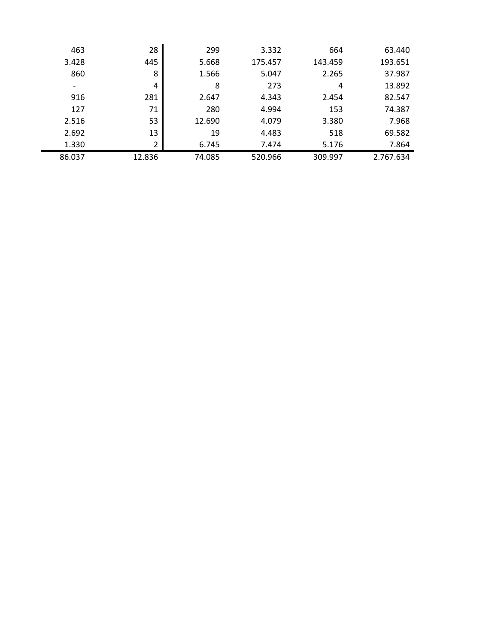| 463    | 28     | 299    | 3.332   | 664     | 63.440    |
|--------|--------|--------|---------|---------|-----------|
| 3.428  | 445    | 5.668  | 175.457 | 143.459 | 193.651   |
| 860    | 8      | 1.566  | 5.047   | 2.265   | 37.987    |
|        | 4      | 8      | 273     | 4       | 13.892    |
| 916    | 281    | 2.647  | 4.343   | 2.454   | 82.547    |
| 127    | 71     | 280    | 4.994   | 153     | 74.387    |
| 2.516  | 53     | 12.690 | 4.079   | 3.380   | 7.968     |
| 2.692  | 13     | 19     | 4.483   | 518     | 69.582    |
| 1.330  | 2      | 6.745  | 7.474   | 5.176   | 7.864     |
| 86.037 | 12.836 | 74.085 | 520.966 | 309.997 | 2.767.634 |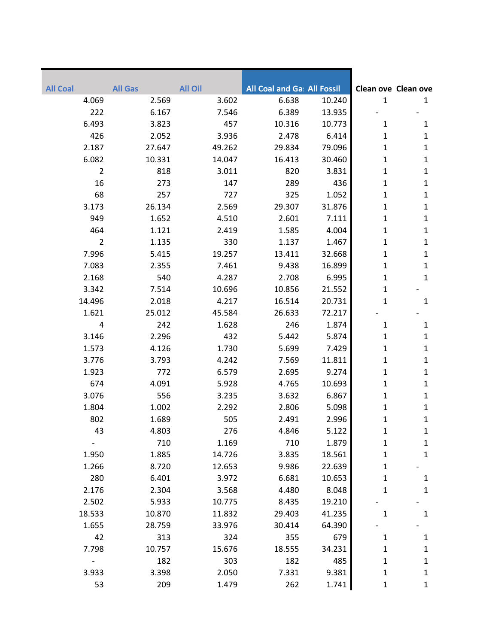| <b>All Coal</b> | <b>All Gas</b> | <b>All Oil</b> | All Coal and Ga: All Fossil |        | Clean ove Clean ove |              |
|-----------------|----------------|----------------|-----------------------------|--------|---------------------|--------------|
| 4.069           | 2.569          | 3.602          | 6.638                       | 10.240 | $\mathbf 1$         | 1            |
| 222             | 6.167          | 7.546          | 6.389                       | 13.935 |                     |              |
| 6.493           | 3.823          | 457            | 10.316                      | 10.773 | $\mathbf{1}$        | 1            |
| 426             | 2.052          | 3.936          | 2.478                       | 6.414  | $\mathbf 1$         | $\mathbf 1$  |
| 2.187           | 27.647         | 49.262         | 29.834                      | 79.096 | $\mathbf 1$         | 1            |
| 6.082           | 10.331         | 14.047         | 16.413                      | 30.460 | $\mathbf 1$         | 1            |
| $\overline{2}$  | 818            | 3.011          | 820                         | 3.831  | $\mathbf 1$         | 1            |
| 16              | 273            | 147            | 289                         | 436    | $\mathbf 1$         | $\mathbf 1$  |
| 68              | 257            | 727            | 325                         | 1.052  | $\mathbf 1$         | $\mathbf 1$  |
| 3.173           | 26.134         | 2.569          | 29.307                      | 31.876 | $\mathbf 1$         | 1            |
| 949             | 1.652          | 4.510          | 2.601                       | 7.111  | $\mathbf 1$         | $\mathbf 1$  |
| 464             | 1.121          | 2.419          | 1.585                       | 4.004  | $\mathbf 1$         | $\mathbf 1$  |
| $\overline{2}$  | 1.135          | 330            | 1.137                       | 1.467  | $\mathbf 1$         | $\mathbf 1$  |
| 7.996           | 5.415          | 19.257         | 13.411                      | 32.668 | $\mathbf 1$         | $\mathbf 1$  |
| 7.083           | 2.355          | 7.461          | 9.438                       | 16.899 | $\mathbf{1}$        | 1            |
| 2.168           | 540            | 4.287          | 2.708                       | 6.995  | $\mathbf 1$         | $\mathbf{1}$ |
| 3.342           | 7.514          | 10.696         | 10.856                      | 21.552 | $\mathbf 1$         |              |
| 14.496          | 2.018          | 4.217          | 16.514                      | 20.731 | $\mathbf{1}$        | 1            |
| 1.621           | 25.012         | 45.584         | 26.633                      | 72.217 |                     |              |
| 4               | 242            | 1.628          | 246                         | 1.874  | $\mathbf{1}$        | 1            |
| 3.146           | 2.296          | 432            | 5.442                       | 5.874  | $\mathbf 1$         | $\mathbf 1$  |
| 1.573           | 4.126          | 1.730          | 5.699                       | 7.429  | $\mathbf 1$         | $\mathbf 1$  |
| 3.776           | 3.793          | 4.242          | 7.569                       | 11.811 | $\mathbf 1$         | $\mathbf 1$  |
| 1.923           | 772            | 6.579          | 2.695                       | 9.274  | $\mathbf 1$         | 1            |
| 674             | 4.091          | 5.928          | 4.765                       | 10.693 | 1                   | $\mathbf 1$  |
| 3.076           | 556            | 3.235          | 3.632                       | 6.867  | $\mathbf 1$         | $\mathbf 1$  |
| 1.804           | 1.002          | 2.292          | 2.806                       | 5.098  | $\mathbf 1$         | $\mathbf 1$  |
| 802             | 1.689          | 505            | 2.491                       | 2.996  | 1                   | $\mathbf 1$  |
| 43              | 4.803          | 276            | 4.846                       | 5.122  | 1                   | 1            |
|                 | 710            | 1.169          | 710                         | 1.879  | $\mathbf 1$         | $\mathbf 1$  |
| 1.950           | 1.885          | 14.726         | 3.835                       | 18.561 | $\mathbf 1$         | 1            |
| 1.266           | 8.720          | 12.653         | 9.986                       | 22.639 | 1                   |              |
| 280             | 6.401          | 3.972          | 6.681                       | 10.653 | 1                   | 1            |
| 2.176           | 2.304          | 3.568          | 4.480                       | 8.048  | $\mathbf{1}$        | 1            |
| 2.502           | 5.933          | 10.775         | 8.435                       | 19.210 |                     |              |
| 18.533          | 10.870         | 11.832         | 29.403                      | 41.235 | $\mathbf 1$         | $\mathbf 1$  |
| 1.655           | 28.759         | 33.976         | 30.414                      | 64.390 |                     |              |
| 42              | 313            | 324            | 355                         | 679    | $\mathbf 1$         | 1            |
| 7.798           | 10.757         | 15.676         | 18.555                      | 34.231 | $\mathbf 1$         | $\mathbf{1}$ |
|                 | 182            | 303            | 182                         | 485    | $\mathbf 1$         | $\mathbf{1}$ |
| 3.933           | 3.398          | 2.050          | 7.331                       | 9.381  | $\mathbf{1}$        | 1            |
| 53              | 209            | 1.479          | 262                         | 1.741  | $\mathbf 1$         | $\mathbf{1}$ |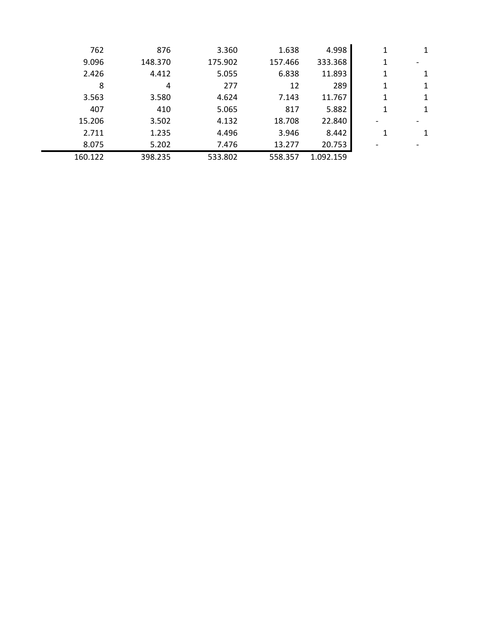| 762     | 876     | 3.360   | 1.638   | 4.998     | 1                        | 1            |
|---------|---------|---------|---------|-----------|--------------------------|--------------|
| 9.096   | 148.370 | 175.902 | 157.466 | 333.368   | 1                        |              |
| 2.426   | 4.412   | 5.055   | 6.838   | 11.893    | 1                        | 1            |
| 8       | 4       | 277     | 12      | 289       | 1                        | 1            |
| 3.563   | 3.580   | 4.624   | 7.143   | 11.767    | 1                        | $\mathbf{1}$ |
| 407     | 410     | 5.065   | 817     | 5.882     | 1                        | 1            |
| 15.206  | 3.502   | 4.132   | 18.708  | 22.840    | $\overline{\phantom{0}}$ |              |
| 2.711   | 1.235   | 4.496   | 3.946   | 8.442     |                          | 1            |
| 8.075   | 5.202   | 7.476   | 13.277  | 20.753    | $\overline{\phantom{a}}$ |              |
| 160.122 | 398.235 | 533.802 | 558.357 | 1.092.159 |                          |              |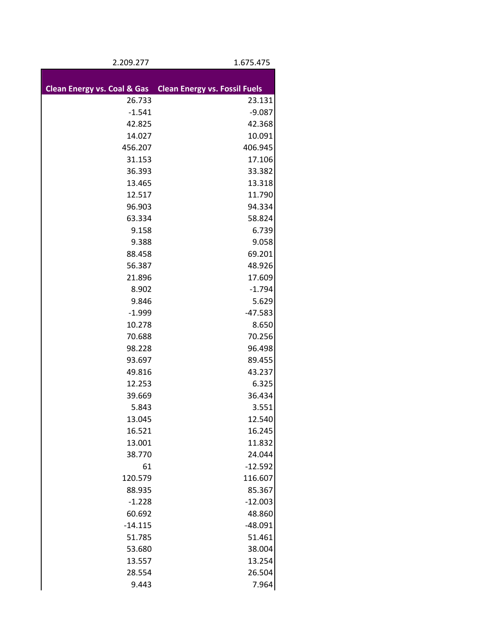| 2.209.277                                                 | 1.675.475 |
|-----------------------------------------------------------|-----------|
|                                                           |           |
| Clean Energy vs. Coal & Gas Clean Energy vs. Fossil Fuels |           |
| 26.733                                                    | 23.131    |
| $-1.541$                                                  | $-9.087$  |
| 42.825                                                    | 42.368    |
| 14.027                                                    | 10.091    |
| 456.207                                                   | 406.945   |
| 31.153                                                    | 17.106    |
| 36.393                                                    | 33.382    |
| 13.465                                                    | 13.318    |
| 12.517                                                    | 11.790    |
| 96.903                                                    | 94.334    |
| 63.334                                                    | 58.824    |
| 9.158                                                     | 6.739     |
| 9.388                                                     | 9.058     |
| 88.458                                                    | 69.201    |
| 56.387                                                    | 48.926    |
| 21.896                                                    | 17.609    |
| 8.902                                                     | $-1.794$  |
| 9.846                                                     | 5.629     |
| $-1.999$                                                  | $-47.583$ |
| 10.278                                                    | 8.650     |
| 70.688                                                    | 70.256    |
| 98.228                                                    | 96.498    |
| 93.697                                                    | 89.455    |
| 49.816                                                    | 43.237    |
| 12.253                                                    | 6.325     |
| 39.669                                                    | 36.434    |
| 5.843                                                     | 3.551     |
| 13.045                                                    | 12.540    |
| 16.521                                                    | 16.245    |
| 13.001                                                    | 11.832    |
| 38.770                                                    | 24.044    |
| 61                                                        | $-12.592$ |
| 120.579                                                   | 116.607   |
| 88.935                                                    | 85.367    |
| $-1.228$                                                  | $-12.003$ |
| 60.692                                                    | 48.860    |
| $-14.115$                                                 | $-48.091$ |
| 51.785                                                    | 51.461    |
| 53.680                                                    | 38.004    |
| 13.557                                                    | 13.254    |
| 28.554                                                    | 26.504    |
| 9.443                                                     | 7.964     |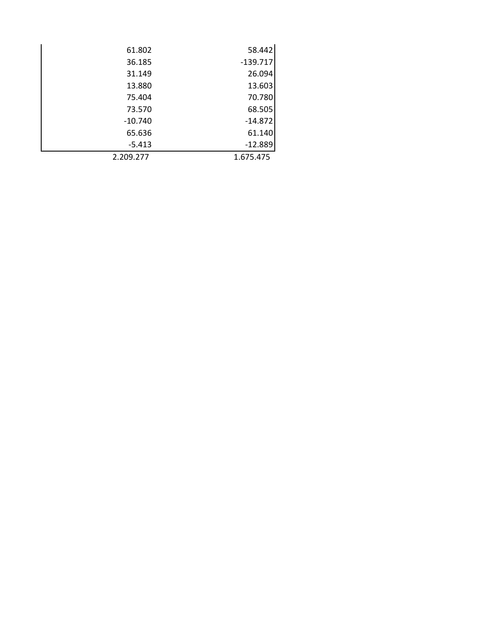| 61.802    | 58.442     |
|-----------|------------|
| 36.185    | $-139.717$ |
| 31.149    | 26.094     |
| 13.880    | 13.603     |
| 75.404    | 70.780     |
| 73.570    | 68.505     |
| $-10.740$ | $-14.872$  |
| 65.636    | 61.140     |
| $-5.413$  | $-12.889$  |
| 2.209.277 | 1.675.475  |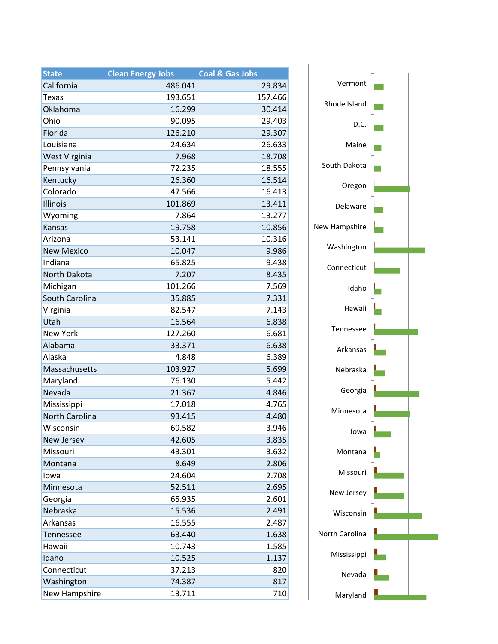| <b>State</b>         | <b>Clean Energy Jobs</b> | <b>Coal &amp; Gas Jobs</b> |
|----------------------|--------------------------|----------------------------|
| California           | 486.041                  | 29.834                     |
| <b>Texas</b>         | 193.651                  | 157.466                    |
| Oklahoma             | 16.299                   | 30.414                     |
| Ohio                 | 90.095                   | 29.403                     |
| Florida              | 126.210                  | 29.307                     |
| Louisiana            | 24.634                   | 26.633                     |
| <b>West Virginia</b> | 7.968                    | 18.708                     |
| Pennsylvania         | 72.235                   | 18.555                     |
| Kentucky             | 26.360                   | 16.514                     |
| Colorado             | 47.566                   | 16.413                     |
| Illinois             | 101.869                  | 13.411                     |
| Wyoming              | 7.864                    | 13.277                     |
| Kansas               | 19.758                   | 10.856                     |
| Arizona              | 53.141                   | 10.316                     |
| <b>New Mexico</b>    | 10.047                   | 9.986                      |
| Indiana              | 65.825                   | 9.438                      |
| North Dakota         | 7.207                    | 8.435                      |
| Michigan             | 101.266                  | 7.569                      |
| South Carolina       | 35.885                   | 7.331                      |
| Virginia             | 82.547                   | 7.143                      |
| Utah                 | 16.564                   | 6.838                      |
| <b>New York</b>      | 127.260                  | 6.681                      |
| Alabama              | 33.371                   | 6.638                      |
| Alaska               | 4.848                    | 6.389                      |
| Massachusetts        | 103.927                  | 5.699                      |
| Maryland             | 76.130                   | 5.442                      |
| Nevada               | 21.367                   | 4.846                      |
| Mississippi          | 17.018                   | 4.765                      |
| North Carolina       | 93.415                   | 4.480                      |
| Wisconsin            | 69.582                   | 3.946                      |
| <b>New Jersey</b>    | 42.605                   | 3.835                      |
| Missouri             | 43.301                   | 3.632                      |
| Montana              | 8.649                    | 2.806                      |
| lowa                 | 24.604                   | 2.708                      |
| Minnesota            | 52.511                   | 2.695                      |
| Georgia              | 65.935                   | 2.601                      |
| Nebraska             | 15.536                   | 2.491                      |
| Arkansas             | 16.555                   | 2.487                      |
| Tennessee            | 63.440                   | 1.638                      |
| Hawaii               | 10.743                   | 1.585                      |
| Idaho                | 10.525                   | 1.137                      |
| Connecticut          | 37.213                   | 820                        |
| Washington           | 74.387                   | 817                        |
| New Hampshire        | 13.711                   | 710                        |

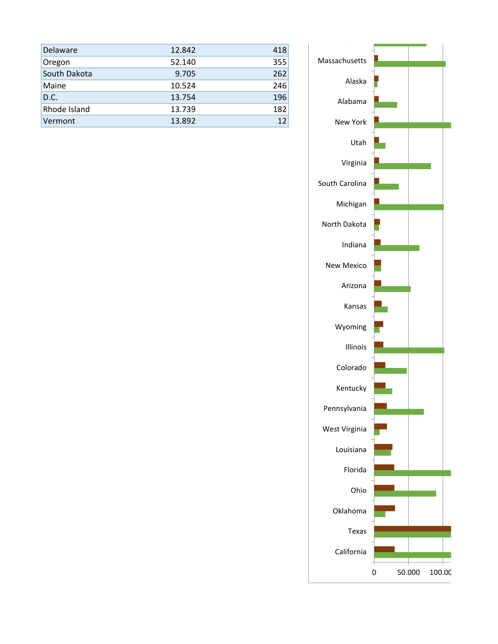| Delaware     | 12.842 | 418 |
|--------------|--------|-----|
| Oregon       | 52.140 | 355 |
| South Dakota | 9.705  | 262 |
| Maine        | 10.524 | 246 |
| D.C.         | 13.754 | 196 |
| Rhode Island | 13.739 | 182 |
| Vermont      | 13.892 | 12  |

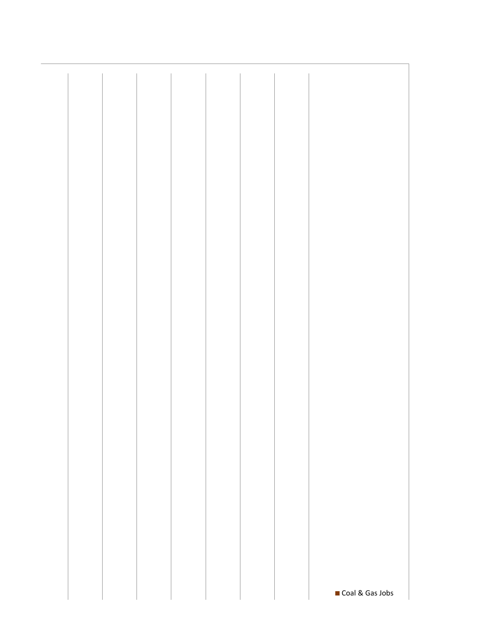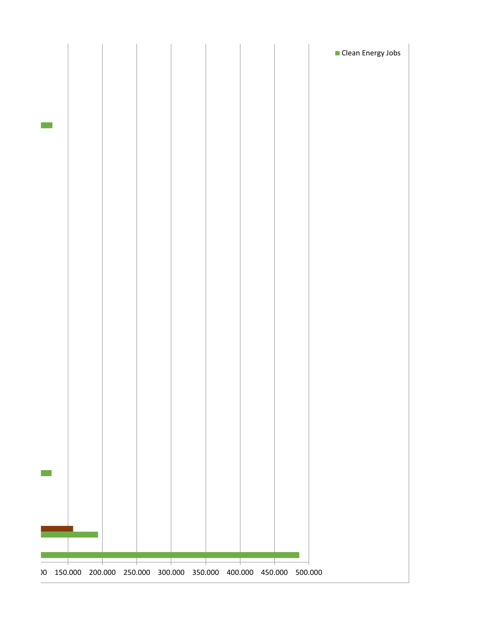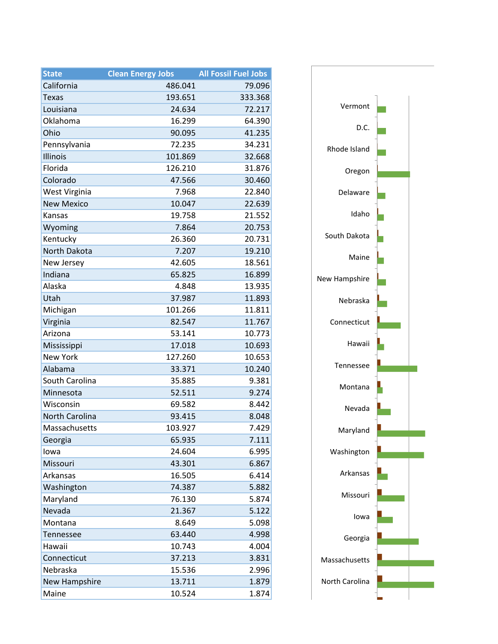| <b>State</b>      | <b>Clean Energy Jobs</b> | <b>All Fossil Fuel Jobs</b> |
|-------------------|--------------------------|-----------------------------|
| California        | 486.041                  | 79.096                      |
| <b>Texas</b>      | 193.651                  | 333.368                     |
| Louisiana         | 24.634                   | 72.217                      |
| Oklahoma          | 16.299                   | 64.390                      |
| Ohio              | 90.095                   | 41.235                      |
| Pennsylvania      | 72.235                   | 34.231                      |
| Illinois          | 101.869                  | 32.668                      |
| Florida           | 126.210                  | 31.876                      |
| Colorado          | 47.566                   | 30.460                      |
| West Virginia     | 7.968                    | 22.840                      |
| <b>New Mexico</b> | 10.047                   | 22.639                      |
| Kansas            | 19.758                   | 21.552                      |
| Wyoming           | 7.864                    | 20.753                      |
| Kentucky          | 26.360                   | 20.731                      |
| North Dakota      | 7.207                    | 19.210                      |
| New Jersey        | 42.605                   | 18.561                      |
| Indiana           | 65.825                   | 16.899                      |
| Alaska            | 4.848                    | 13.935                      |
| Utah              | 37.987                   | 11.893                      |
| Michigan          | 101.266                  | 11.811                      |
| Virginia          | 82.547                   | 11.767                      |
| Arizona           | 53.141                   | 10.773                      |
| Mississippi       | 17.018                   | 10.693                      |
| <b>New York</b>   | 127.260                  | 10.653                      |
| Alabama           | 33.371                   | 10.240                      |
| South Carolina    | 35.885                   | 9.381                       |
| Minnesota         | 52.511                   | 9.274                       |
| Wisconsin         | 69.582                   | 8.442                       |
| North Carolina    | 93.415                   | 8.048                       |
| Massachusetts     | 103.927                  | 7.429                       |
| Georgia           | 65.935                   | 7.111                       |
| lowa              | 24.604                   | 6.995                       |
| Missouri          | 43.301                   | 6.867                       |
| Arkansas          | 16.505                   | 6.414                       |
| Washington        | 74.387                   | 5.882                       |
| Maryland          | 76.130                   | 5.874                       |
| Nevada            | 21.367                   | 5.122                       |
| Montana           | 8.649                    | 5.098                       |
| Tennessee         | 63.440                   | 4.998                       |
| Hawaii            | 10.743                   | 4.004                       |
| Connecticut       | 37.213                   | 3.831                       |
| Nebraska          | 15.536                   | 2.996                       |
| New Hampshire     | 13.711                   | 1.879                       |
| Maine             | 10.524                   | 1.874                       |

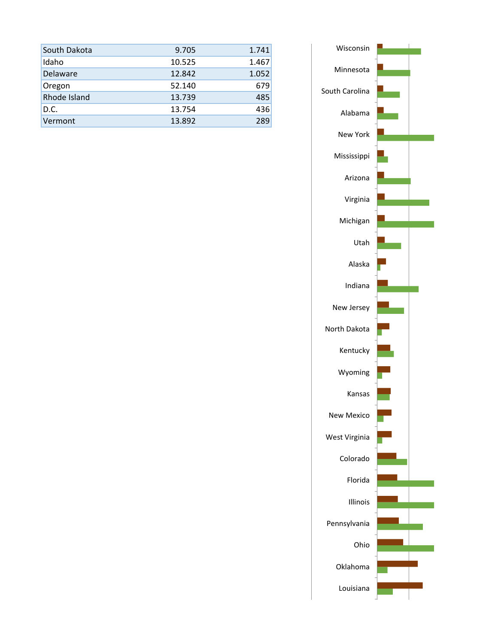| 9.705  | 1.741 |
|--------|-------|
| 10.525 | 1.467 |
| 12.842 | 1.052 |
| 52.140 | 679   |
| 13.739 | 485   |
| 13.754 | 436   |
| 13.892 | 289   |
|        |       |

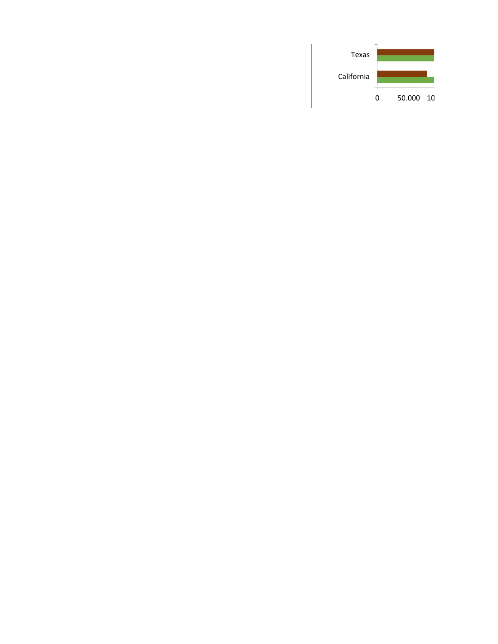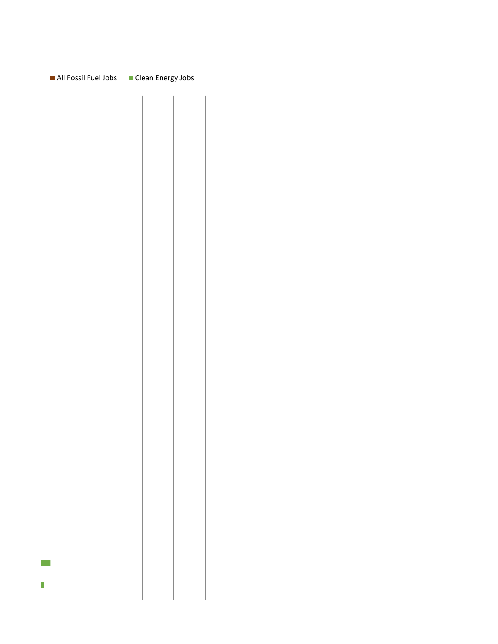| All Fossil Fuel Jobs Clean Energy Jobs |  |  |  |  |  |  |
|----------------------------------------|--|--|--|--|--|--|
|                                        |  |  |  |  |  |  |
|                                        |  |  |  |  |  |  |
|                                        |  |  |  |  |  |  |
|                                        |  |  |  |  |  |  |
|                                        |  |  |  |  |  |  |
|                                        |  |  |  |  |  |  |
|                                        |  |  |  |  |  |  |
|                                        |  |  |  |  |  |  |
|                                        |  |  |  |  |  |  |
|                                        |  |  |  |  |  |  |
|                                        |  |  |  |  |  |  |
|                                        |  |  |  |  |  |  |
| I                                      |  |  |  |  |  |  |
|                                        |  |  |  |  |  |  |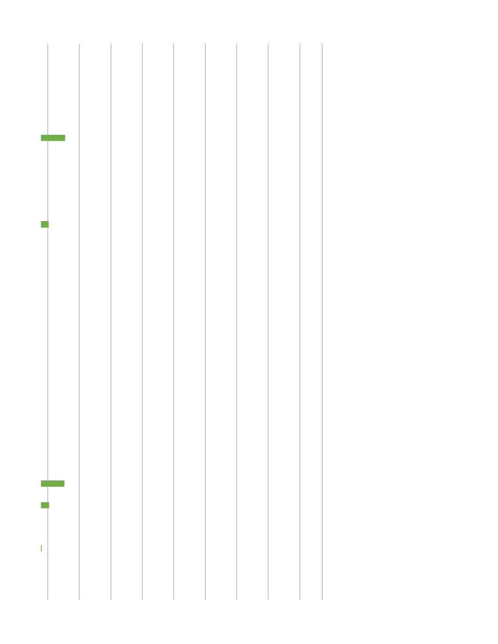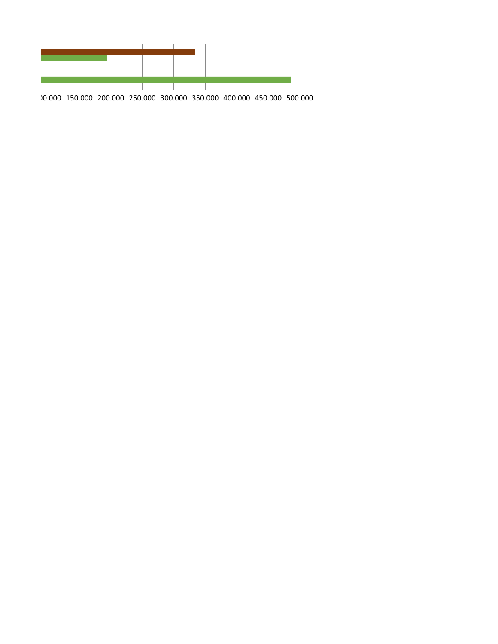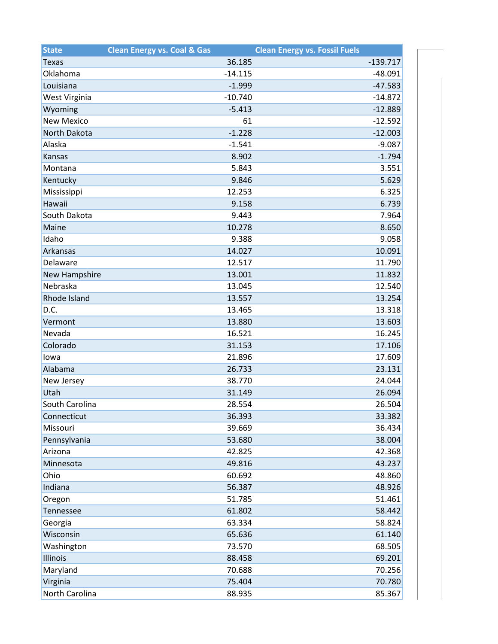| <b>State</b>      | <b>Clean Energy vs. Coal &amp; Gas</b> | <b>Clean Energy vs. Fossil Fuels</b> |            |
|-------------------|----------------------------------------|--------------------------------------|------------|
| <b>Texas</b>      | 36.185                                 |                                      | $-139.717$ |
| Oklahoma          | $-14.115$                              |                                      | $-48.091$  |
| Louisiana         | $-1.999$                               |                                      | $-47.583$  |
| West Virginia     | $-10.740$                              |                                      | $-14.872$  |
| Wyoming           | $-5.413$                               |                                      | $-12.889$  |
| <b>New Mexico</b> |                                        | 61                                   | $-12.592$  |
| North Dakota      | $-1.228$                               |                                      | $-12.003$  |
| Alaska            | $-1.541$                               |                                      | $-9.087$   |
| Kansas            | 8.902                                  |                                      | $-1.794$   |
| Montana           | 5.843                                  |                                      | 3.551      |
| Kentucky          | 9.846                                  |                                      | 5.629      |
| Mississippi       | 12.253                                 |                                      | 6.325      |
| Hawaii            | 9.158                                  |                                      | 6.739      |
| South Dakota      | 9.443                                  |                                      | 7.964      |
| Maine             | 10.278                                 |                                      | 8.650      |
| Idaho             | 9.388                                  |                                      | 9.058      |
| Arkansas          | 14.027                                 |                                      | 10.091     |
| Delaware          | 12.517                                 |                                      | 11.790     |
| New Hampshire     | 13.001                                 |                                      | 11.832     |
| Nebraska          | 13.045                                 |                                      | 12.540     |
| Rhode Island      | 13.557                                 |                                      | 13.254     |
| D.C.              | 13.465                                 |                                      | 13.318     |
| Vermont           | 13.880                                 |                                      | 13.603     |
| Nevada            | 16.521                                 |                                      | 16.245     |
| Colorado          | 31.153                                 |                                      | 17.106     |
| lowa              | 21.896                                 |                                      | 17.609     |
| Alabama           | 26.733                                 |                                      | 23.131     |
| New Jersey        | 38.770                                 |                                      | 24.044     |
| Utah              | 31.149                                 |                                      | 26.094     |
| South Carolina    | 28.554                                 |                                      | 26.504     |
| Connecticut       | 36.393                                 |                                      | 33.382     |
| Missouri          | 39.669                                 |                                      | 36.434     |
| Pennsylvania      | 53.680                                 |                                      | 38.004     |
| Arizona           | 42.825                                 |                                      | 42.368     |
| Minnesota         | 49.816                                 |                                      | 43.237     |
| Ohio              | 60.692                                 |                                      | 48.860     |
| Indiana           | 56.387                                 |                                      | 48.926     |
| Oregon            | 51.785                                 |                                      | 51.461     |
| Tennessee         | 61.802                                 |                                      | 58.442     |
| Georgia           | 63.334                                 |                                      | 58.824     |
| Wisconsin         | 65.636                                 |                                      | 61.140     |
| Washington        | 73.570                                 |                                      | 68.505     |
| Illinois          | 88.458                                 |                                      | 69.201     |
| Maryland          | 70.688                                 |                                      | 70.256     |
| Virginia          | 75.404                                 |                                      | 70.780     |
| North Carolina    | 88.935                                 |                                      | 85.367     |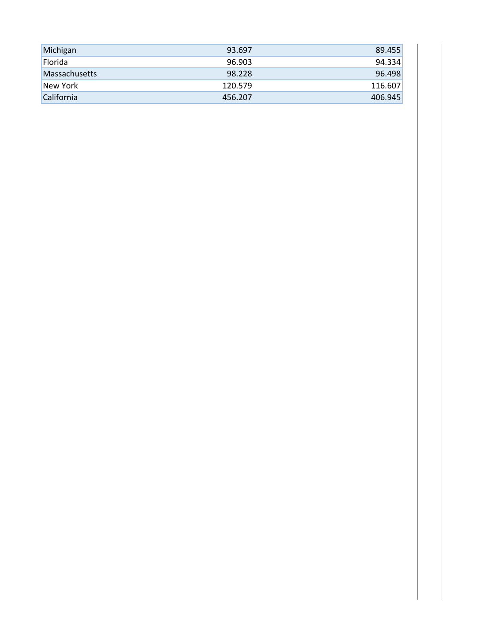| Michigan             | 93.697  | 89.455  |
|----------------------|---------|---------|
| Florida              | 96.903  | 94.334  |
| <b>Massachusetts</b> | 98.228  | 96.498  |
| New York             | 120.579 | 116.607 |
| California           | 456.207 | 406.945 |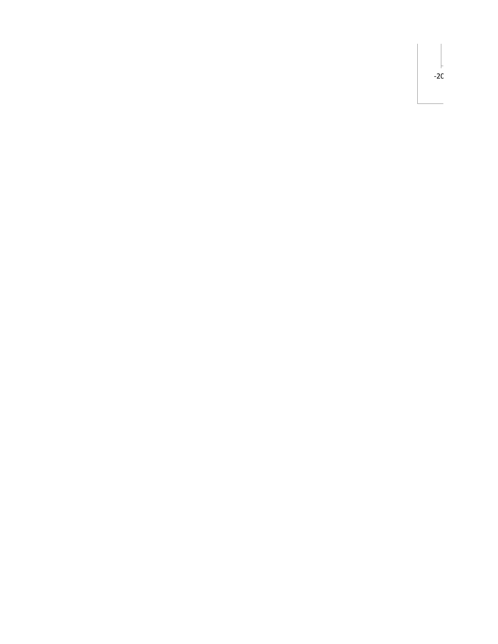$-20$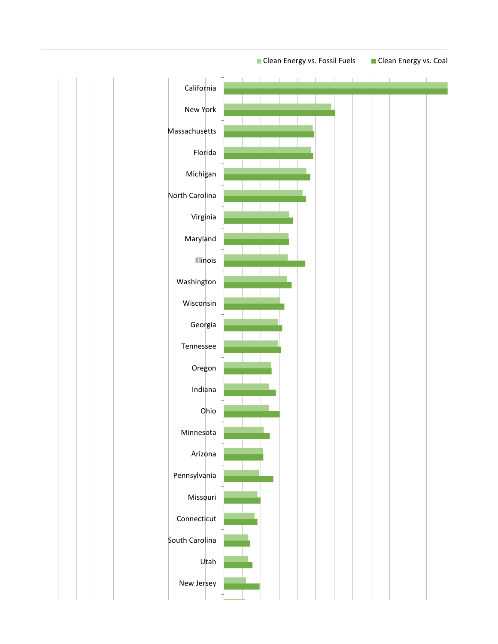

 $\blacksquare$  Clean Energy vs. Fossil Fuels  $\blacksquare$  Clean Energy vs. Coal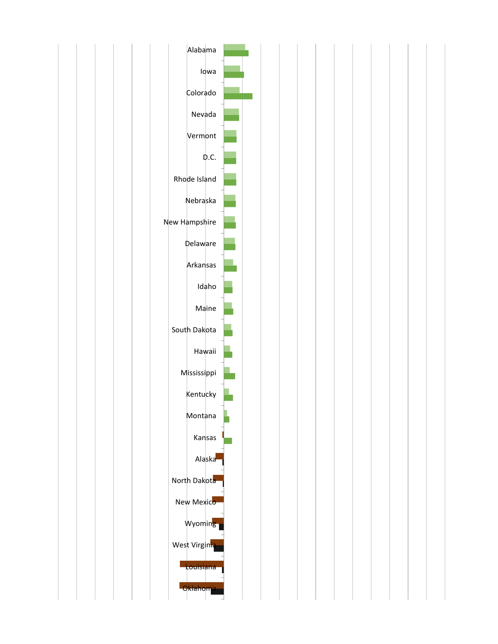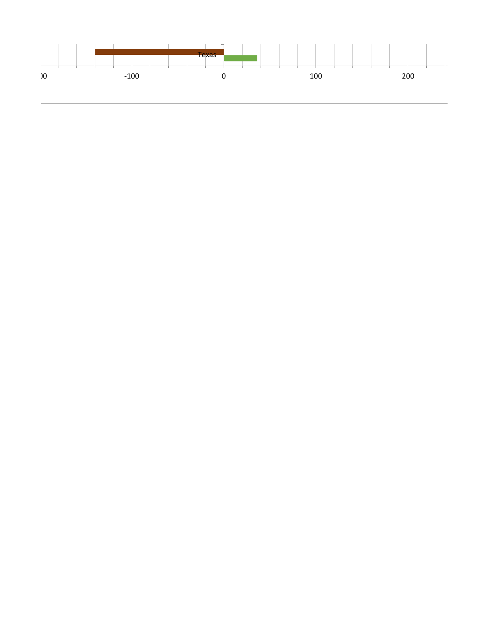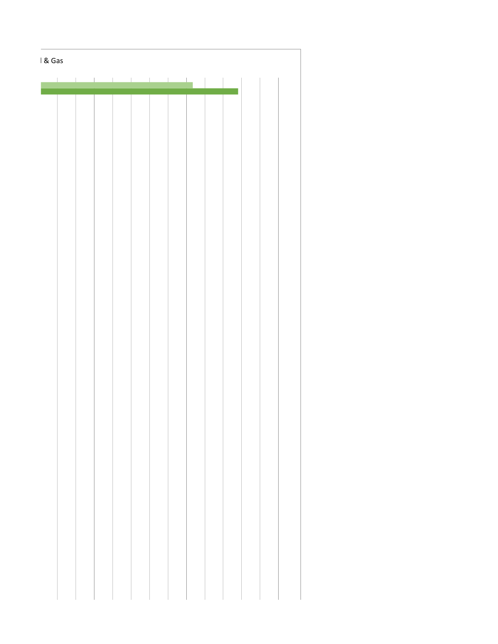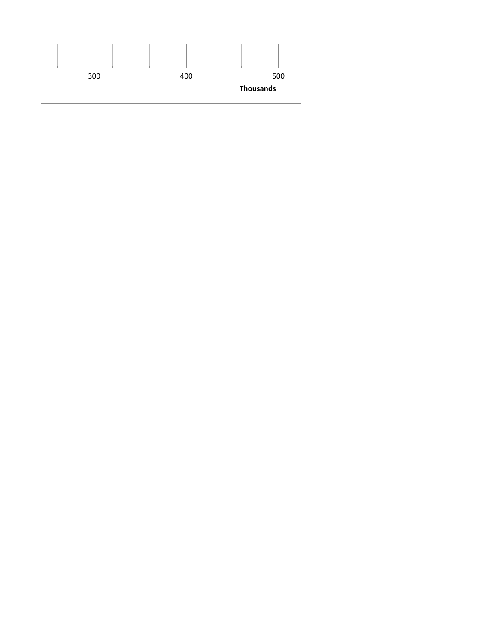